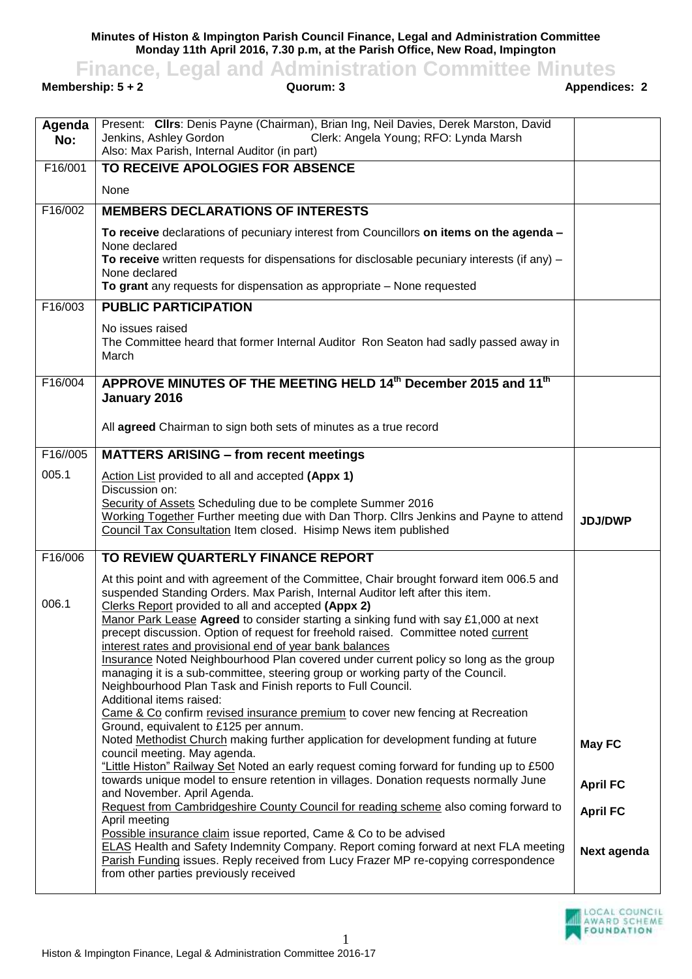**Minutes of Histon & Impington Parish Council Finance, Legal and Administration Committee Monday 11th April 2016, 7.30 p.m, at the Parish Office, New Road, Impington**

**Finance, Legal and Administration Committee Minutes**<br>**Guorum: 3**<br>**Appendices: 2**<br>**Appendices: 2** 

**Membership: 5 + 2** 

| Agenda<br>No: | Present: Clirs: Denis Payne (Chairman), Brian Ing, Neil Davies, Derek Marston, David<br>Jenkins, Ashley Gordon<br>Clerk: Angela Young; RFO: Lynda Marsh<br>Also: Max Parish, Internal Auditor (in part) |                 |
|---------------|---------------------------------------------------------------------------------------------------------------------------------------------------------------------------------------------------------|-----------------|
| F16/001       | TO RECEIVE APOLOGIES FOR ABSENCE                                                                                                                                                                        |                 |
|               | None                                                                                                                                                                                                    |                 |
| F16/002       | <b>MEMBERS DECLARATIONS OF INTERESTS</b>                                                                                                                                                                |                 |
|               | To receive declarations of pecuniary interest from Councillors on items on the agenda -                                                                                                                 |                 |
|               | None declared<br>To receive written requests for dispensations for disclosable pecuniary interests (if any) $-$                                                                                         |                 |
|               | None declared                                                                                                                                                                                           |                 |
|               | To grant any requests for dispensation as appropriate - None requested                                                                                                                                  |                 |
| F16/003       | <b>PUBLIC PARTICIPATION</b>                                                                                                                                                                             |                 |
|               | No issues raised<br>The Committee heard that former Internal Auditor Ron Seaton had sadly passed away in<br>March                                                                                       |                 |
| F16/004       | APPROVE MINUTES OF THE MEETING HELD 14th December 2015 and 11th<br>January 2016                                                                                                                         |                 |
|               | All agreed Chairman to sign both sets of minutes as a true record                                                                                                                                       |                 |
| F16//005      | <b>MATTERS ARISING - from recent meetings</b>                                                                                                                                                           |                 |
| 005.1         | Action List provided to all and accepted (Appx 1)<br>Discussion on:                                                                                                                                     |                 |
|               | Security of Assets Scheduling due to be complete Summer 2016                                                                                                                                            |                 |
|               | Working Together Further meeting due with Dan Thorp. Cllrs Jenkins and Payne to attend<br>Council Tax Consultation Item closed. Hisimp News item published                                              | <b>JDJ/DWP</b>  |
| F16/006       | TO REVIEW QUARTERLY FINANCE REPORT                                                                                                                                                                      |                 |
| 006.1         | At this point and with agreement of the Committee, Chair brought forward item 006.5 and<br>suspended Standing Orders. Max Parish, Internal Auditor left after this item.                                |                 |
|               | Clerks Report provided to all and accepted (Appx 2)<br>Manor Park Lease Agreed to consider starting a sinking fund with say £1,000 at next                                                              |                 |
|               | precept discussion. Option of request for freehold raised. Committee noted current<br>interest rates and provisional end of year bank balances                                                          |                 |
|               | Insurance Noted Neighbourhood Plan covered under current policy so long as the group                                                                                                                    |                 |
|               | managing it is a sub-committee, steering group or working party of the Council.<br>Neighbourhood Plan Task and Finish reports to Full Council.                                                          |                 |
|               | Additional items raised:                                                                                                                                                                                |                 |
|               | Came & Co confirm revised insurance premium to cover new fencing at Recreation<br>Ground, equivalent to £125 per annum.                                                                                 |                 |
|               | Noted Methodist Church making further application for development funding at future<br>council meeting. May agenda.                                                                                     | <b>May FC</b>   |
|               | "Little Histon" Railway Set Noted an early request coming forward for funding up to £500<br>towards unique model to ensure retention in villages. Donation requests normally June                       | <b>April FC</b> |
|               | and November. April Agenda.<br>Request from Cambridgeshire County Council for reading scheme also coming forward to                                                                                     | <b>April FC</b> |
|               | April meeting                                                                                                                                                                                           |                 |
|               | Possible insurance claim issue reported, Came & Co to be advised<br><b>ELAS Health and Safety Indemnity Company. Report coming forward at next FLA meeting</b>                                          | Next agenda     |
|               | Parish Funding issues. Reply received from Lucy Frazer MP re-copying correspondence<br>from other parties previously received                                                                           |                 |
|               |                                                                                                                                                                                                         |                 |

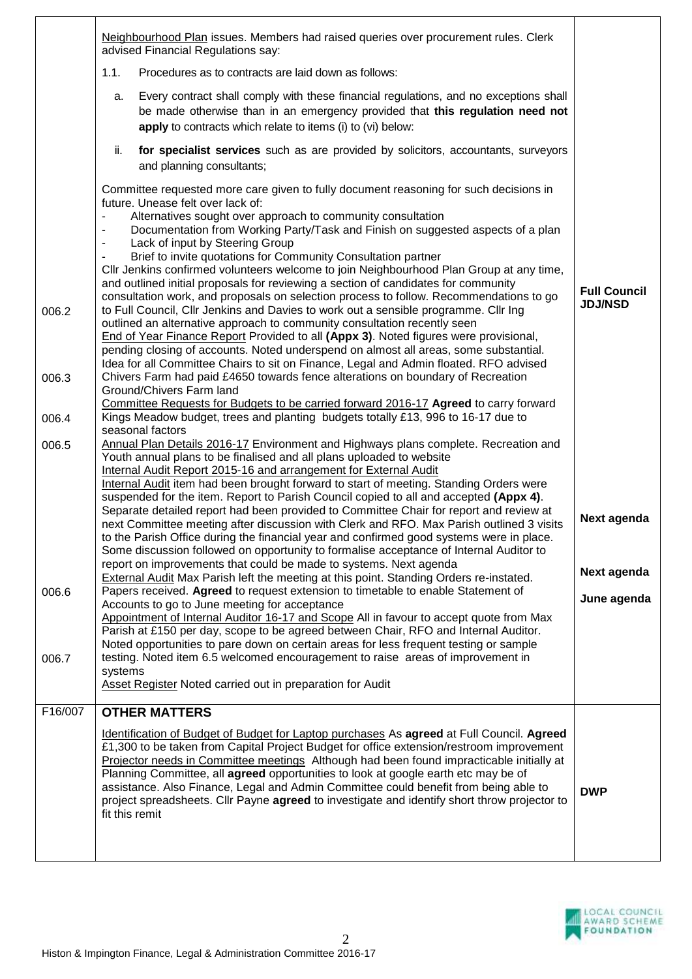|         | Neighbourhood Plan issues. Members had raised queries over procurement rules. Clerk<br>advised Financial Regulations say:                                                                                                                                                                                                                                                                                                                                                                                                                                                                                                                                                                                                                                                                                                                                           |                                       |
|---------|---------------------------------------------------------------------------------------------------------------------------------------------------------------------------------------------------------------------------------------------------------------------------------------------------------------------------------------------------------------------------------------------------------------------------------------------------------------------------------------------------------------------------------------------------------------------------------------------------------------------------------------------------------------------------------------------------------------------------------------------------------------------------------------------------------------------------------------------------------------------|---------------------------------------|
|         | 1.1.<br>Procedures as to contracts are laid down as follows:                                                                                                                                                                                                                                                                                                                                                                                                                                                                                                                                                                                                                                                                                                                                                                                                        |                                       |
|         | Every contract shall comply with these financial regulations, and no exceptions shall<br>a.<br>be made otherwise than in an emergency provided that this regulation need not<br>apply to contracts which relate to items (i) to (vi) below:                                                                                                                                                                                                                                                                                                                                                                                                                                                                                                                                                                                                                         |                                       |
|         | for specialist services such as are provided by solicitors, accountants, surveyors<br>ii.<br>and planning consultants;                                                                                                                                                                                                                                                                                                                                                                                                                                                                                                                                                                                                                                                                                                                                              |                                       |
|         | Committee requested more care given to fully document reasoning for such decisions in<br>future. Unease felt over lack of:<br>Alternatives sought over approach to community consultation<br>Documentation from Working Party/Task and Finish on suggested aspects of a plan<br>Lack of input by Steering Group<br>Brief to invite quotations for Community Consultation partner<br>CIIr Jenkins confirmed volunteers welcome to join Neighbourhood Plan Group at any time,<br>and outlined initial proposals for reviewing a section of candidates for community<br>consultation work, and proposals on selection process to follow. Recommendations to go                                                                                                                                                                                                         | <b>Full Council</b><br><b>JDJ/NSD</b> |
| 006.2   | to Full Council, Cllr Jenkins and Davies to work out a sensible programme. Cllr Ing<br>outlined an alternative approach to community consultation recently seen<br>End of Year Finance Report Provided to all (Appx 3). Noted figures were provisional,<br>pending closing of accounts. Noted underspend on almost all areas, some substantial.<br>Idea for all Committee Chairs to sit on Finance, Legal and Admin floated. RFO advised                                                                                                                                                                                                                                                                                                                                                                                                                            |                                       |
| 006.3   | Chivers Farm had paid £4650 towards fence alterations on boundary of Recreation<br>Ground/Chivers Farm land<br>Committee Requests for Budgets to be carried forward 2016-17 Agreed to carry forward                                                                                                                                                                                                                                                                                                                                                                                                                                                                                                                                                                                                                                                                 |                                       |
| 006.4   | Kings Meadow budget, trees and planting budgets totally £13, 996 to 16-17 due to<br>seasonal factors                                                                                                                                                                                                                                                                                                                                                                                                                                                                                                                                                                                                                                                                                                                                                                |                                       |
| 006.5   | Annual Plan Details 2016-17 Environment and Highways plans complete. Recreation and<br>Youth annual plans to be finalised and all plans uploaded to website<br>Internal Audit Report 2015-16 and arrangement for External Audit<br>Internal Audit item had been brought forward to start of meeting. Standing Orders were<br>suspended for the item. Report to Parish Council copied to all and accepted (Appx 4).<br>Separate detailed report had been provided to Committee Chair for report and review at<br>next Committee meeting after discussion with Clerk and RFO. Max Parish outlined 3 visits<br>to the Parish Office during the financial year and confirmed good systems were in place.<br>Some discussion followed on opportunity to formalise acceptance of Internal Auditor to<br>report on improvements that could be made to systems. Next agenda | Next agenda<br>Next agenda            |
| 006.6   | External Audit Max Parish left the meeting at this point. Standing Orders re-instated.<br>Papers received. Agreed to request extension to timetable to enable Statement of<br>Accounts to go to June meeting for acceptance                                                                                                                                                                                                                                                                                                                                                                                                                                                                                                                                                                                                                                         | June agenda                           |
|         | Appointment of Internal Auditor 16-17 and Scope All in favour to accept quote from Max<br>Parish at £150 per day, scope to be agreed between Chair, RFO and Internal Auditor.<br>Noted opportunities to pare down on certain areas for less frequent testing or sample                                                                                                                                                                                                                                                                                                                                                                                                                                                                                                                                                                                              |                                       |
| 006.7   | testing. Noted item 6.5 welcomed encouragement to raise areas of improvement in<br>systems<br>Asset Register Noted carried out in preparation for Audit                                                                                                                                                                                                                                                                                                                                                                                                                                                                                                                                                                                                                                                                                                             |                                       |
| F16/007 | <b>OTHER MATTERS</b>                                                                                                                                                                                                                                                                                                                                                                                                                                                                                                                                                                                                                                                                                                                                                                                                                                                |                                       |
|         | Identification of Budget of Budget for Laptop purchases As agreed at Full Council. Agreed<br>£1,300 to be taken from Capital Project Budget for office extension/restroom improvement<br>Projector needs in Committee meetings Although had been found impracticable initially at<br>Planning Committee, all agreed opportunities to look at google earth etc may be of<br>assistance. Also Finance, Legal and Admin Committee could benefit from being able to<br>project spreadsheets. Cllr Payne agreed to investigate and identify short throw projector to<br>fit this remit                                                                                                                                                                                                                                                                                   | <b>DWP</b>                            |